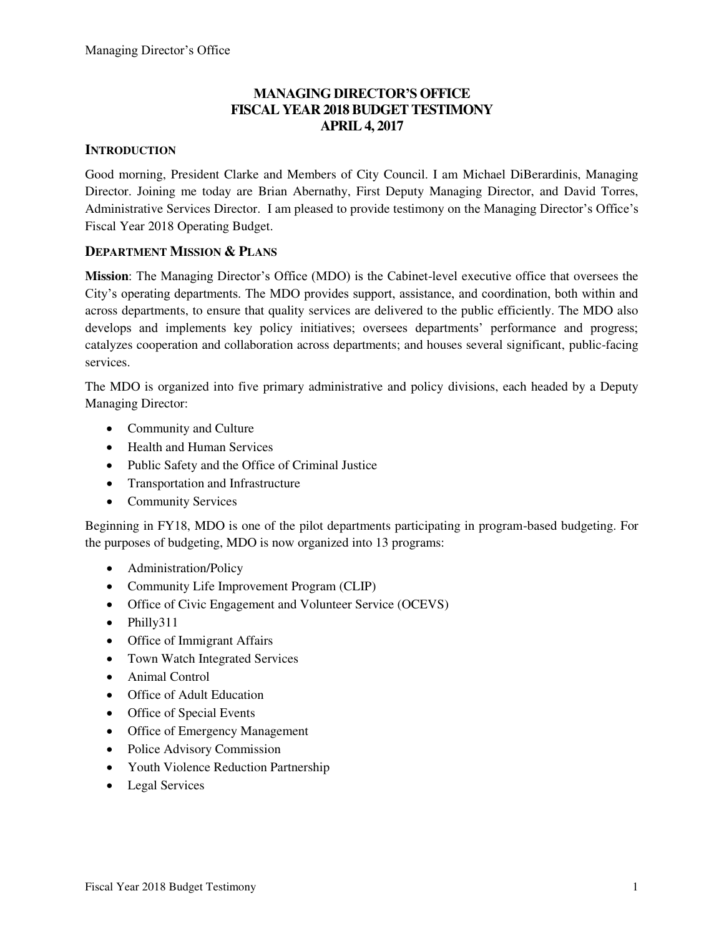## **MANAGING DIRECTOR'S OFFICE FISCAL YEAR 2018 BUDGET TESTIMONY APRIL 4, 2017**

### **INTRODUCTION**

Good morning, President Clarke and Members of City Council. I am Michael DiBerardinis, Managing Director. Joining me today are Brian Abernathy, First Deputy Managing Director, and David Torres, Administrative Services Director. I am pleased to provide testimony on the Managing Director's Office's Fiscal Year 2018 Operating Budget.

#### **DEPARTMENT MISSION & PLANS**

**Mission**: The Managing Director's Office (MDO) is the Cabinet-level executive office that oversees the City's operating departments. The MDO provides support, assistance, and coordination, both within and across departments, to ensure that quality services are delivered to the public efficiently. The MDO also develops and implements key policy initiatives; oversees departments' performance and progress; catalyzes cooperation and collaboration across departments; and houses several significant, public-facing services.

The MDO is organized into five primary administrative and policy divisions, each headed by a Deputy Managing Director:

- Community and Culture
- Health and Human Services
- Public Safety and the Office of Criminal Justice
- Transportation and Infrastructure
- Community Services

Beginning in FY18, MDO is one of the pilot departments participating in program-based budgeting. For the purposes of budgeting, MDO is now organized into 13 programs:

- Administration/Policy
- Community Life Improvement Program (CLIP)
- Office of Civic Engagement and Volunteer Service (OCEVS)
- Philly311
- Office of Immigrant Affairs
- Town Watch Integrated Services
- Animal Control
- Office of Adult Education
- Office of Special Events
- Office of Emergency Management
- Police Advisory Commission
- Youth Violence Reduction Partnership
- Legal Services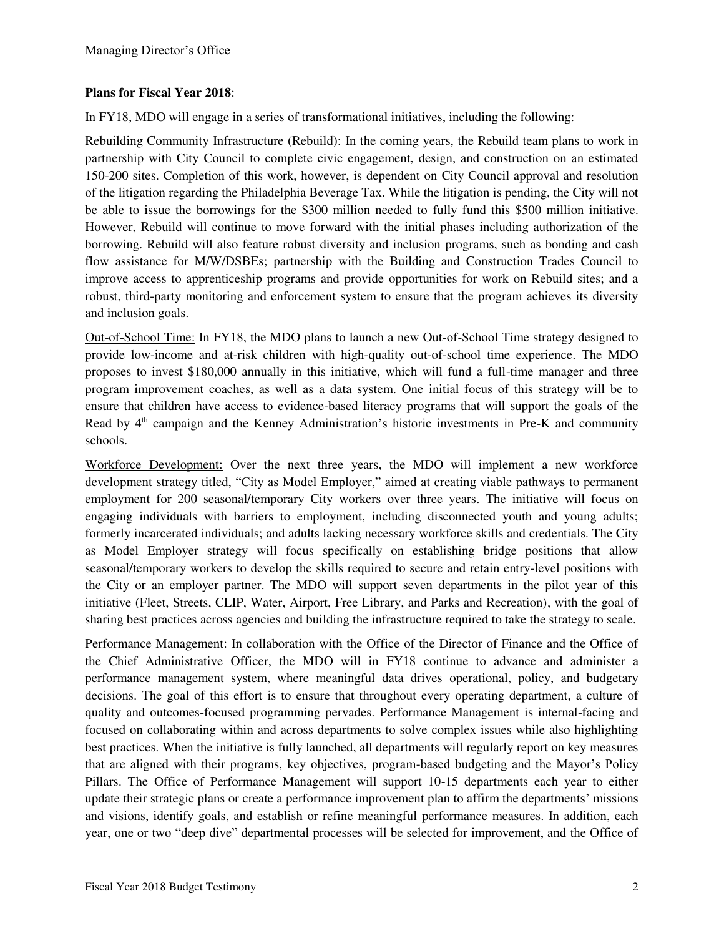#### **Plans for Fiscal Year 2018**:

In FY18, MDO will engage in a series of transformational initiatives, including the following:

Rebuilding Community Infrastructure (Rebuild): In the coming years, the Rebuild team plans to work in partnership with City Council to complete civic engagement, design, and construction on an estimated 150-200 sites. Completion of this work, however, is dependent on City Council approval and resolution of the litigation regarding the Philadelphia Beverage Tax. While the litigation is pending, the City will not be able to issue the borrowings for the \$300 million needed to fully fund this \$500 million initiative. However, Rebuild will continue to move forward with the initial phases including authorization of the borrowing. Rebuild will also feature robust diversity and inclusion programs, such as bonding and cash flow assistance for M/W/DSBEs; partnership with the Building and Construction Trades Council to improve access to apprenticeship programs and provide opportunities for work on Rebuild sites; and a robust, third-party monitoring and enforcement system to ensure that the program achieves its diversity and inclusion goals.

Out-of-School Time: In FY18, the MDO plans to launch a new Out-of-School Time strategy designed to provide low-income and at-risk children with high-quality out-of-school time experience. The MDO proposes to invest \$180,000 annually in this initiative, which will fund a full-time manager and three program improvement coaches, as well as a data system. One initial focus of this strategy will be to ensure that children have access to evidence-based literacy programs that will support the goals of the Read by  $4<sup>th</sup>$  campaign and the Kenney Administration's historic investments in Pre-K and community schools.

Workforce Development: Over the next three years, the MDO will implement a new workforce development strategy titled, "City as Model Employer," aimed at creating viable pathways to permanent employment for 200 seasonal/temporary City workers over three years. The initiative will focus on engaging individuals with barriers to employment, including disconnected youth and young adults; formerly incarcerated individuals; and adults lacking necessary workforce skills and credentials. The City as Model Employer strategy will focus specifically on establishing bridge positions that allow seasonal/temporary workers to develop the skills required to secure and retain entry-level positions with the City or an employer partner. The MDO will support seven departments in the pilot year of this initiative (Fleet, Streets, CLIP, Water, Airport, Free Library, and Parks and Recreation), with the goal of sharing best practices across agencies and building the infrastructure required to take the strategy to scale.

Performance Management: In collaboration with the Office of the Director of Finance and the Office of the Chief Administrative Officer, the MDO will in FY18 continue to advance and administer a performance management system, where meaningful data drives operational, policy, and budgetary decisions. The goal of this effort is to ensure that throughout every operating department, a culture of quality and outcomes-focused programming pervades. Performance Management is internal-facing and focused on collaborating within and across departments to solve complex issues while also highlighting best practices. When the initiative is fully launched, all departments will regularly report on key measures that are aligned with their programs, key objectives, program-based budgeting and the Mayor's Policy Pillars. The Office of Performance Management will support 10-15 departments each year to either update their strategic plans or create a performance improvement plan to affirm the departments' missions and visions, identify goals, and establish or refine meaningful performance measures. In addition, each year, one or two "deep dive" departmental processes will be selected for improvement, and the Office of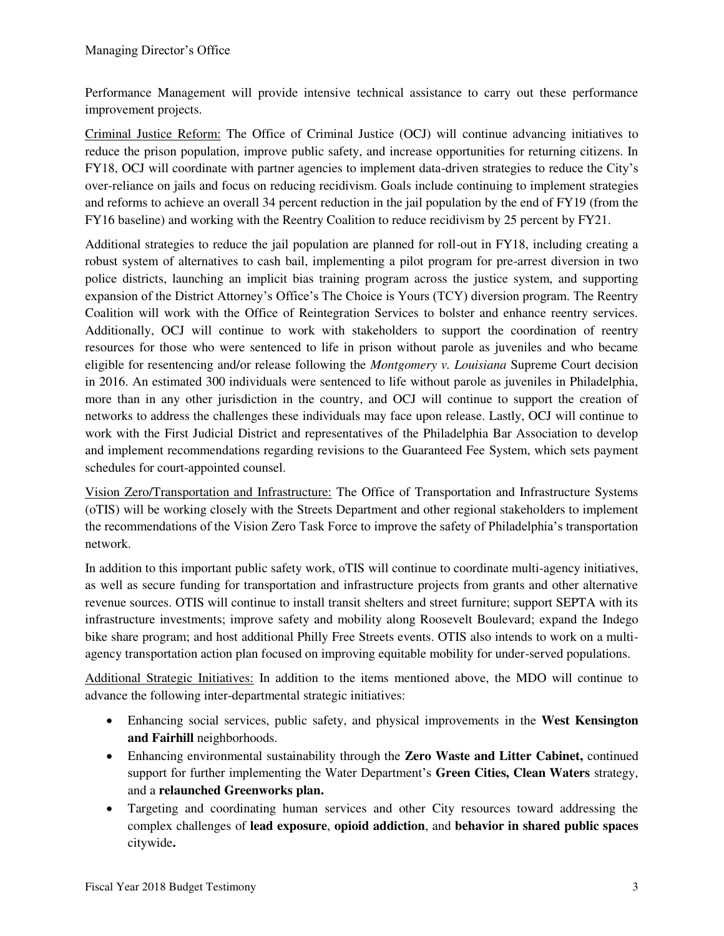Performance Management will provide intensive technical assistance to carry out these performance improvement projects.

Criminal Justice Reform: The Office of Criminal Justice (OCJ) will continue advancing initiatives to reduce the prison population, improve public safety, and increase opportunities for returning citizens. In FY18, OCJ will coordinate with partner agencies to implement data-driven strategies to reduce the City's over-reliance on jails and focus on reducing recidivism. Goals include continuing to implement strategies and reforms to achieve an overall 34 percent reduction in the jail population by the end of FY19 (from the FY16 baseline) and working with the Reentry Coalition to reduce recidivism by 25 percent by FY21.

Additional strategies to reduce the jail population are planned for roll-out in FY18, including creating a robust system of alternatives to cash bail, implementing a pilot program for pre-arrest diversion in two police districts, launching an implicit bias training program across the justice system, and supporting expansion of the District Attorney's Office's The Choice is Yours (TCY) diversion program. The Reentry Coalition will work with the Office of Reintegration Services to bolster and enhance reentry services. Additionally, OCJ will continue to work with stakeholders to support the coordination of reentry resources for those who were sentenced to life in prison without parole as juveniles and who became eligible for resentencing and/or release following the *Montgomery v. Louisiana* Supreme Court decision in 2016. An estimated 300 individuals were sentenced to life without parole as juveniles in Philadelphia, more than in any other jurisdiction in the country, and OCJ will continue to support the creation of networks to address the challenges these individuals may face upon release. Lastly, OCJ will continue to work with the First Judicial District and representatives of the Philadelphia Bar Association to develop and implement recommendations regarding revisions to the Guaranteed Fee System, which sets payment schedules for court-appointed counsel.

Vision Zero/Transportation and Infrastructure: The Office of Transportation and Infrastructure Systems (oTIS) will be working closely with the Streets Department and other regional stakeholders to implement the recommendations of the Vision Zero Task Force to improve the safety of Philadelphia's transportation network.

In addition to this important public safety work, oTIS will continue to coordinate multi-agency initiatives, as well as secure funding for transportation and infrastructure projects from grants and other alternative revenue sources. OTIS will continue to install transit shelters and street furniture; support SEPTA with its infrastructure investments; improve safety and mobility along Roosevelt Boulevard; expand the Indego bike share program; and host additional Philly Free Streets events. OTIS also intends to work on a multiagency transportation action plan focused on improving equitable mobility for under-served populations.

Additional Strategic Initiatives: In addition to the items mentioned above, the MDO will continue to advance the following inter-departmental strategic initiatives:

- Enhancing social services, public safety, and physical improvements in the **West Kensington and Fairhill** neighborhoods.
- Enhancing environmental sustainability through the **Zero Waste and Litter Cabinet,** continued support for further implementing the Water Department's **Green Cities, Clean Waters** strategy, and a **relaunched Greenworks plan.**
- Targeting and coordinating human services and other City resources toward addressing the complex challenges of **lead exposure**, **opioid addiction**, and **behavior in shared public spaces**  citywide**.**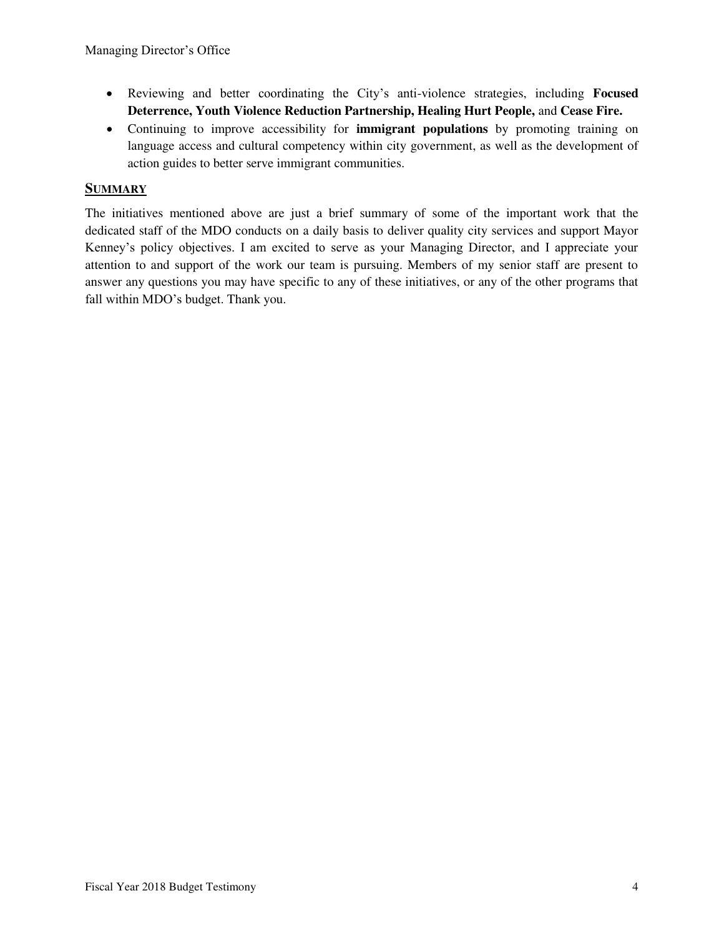- Reviewing and better coordinating the City's anti-violence strategies, including **Focused Deterrence, Youth Violence Reduction Partnership, Healing Hurt People,** and **Cease Fire.**
- Continuing to improve accessibility for **immigrant populations** by promoting training on language access and cultural competency within city government, as well as the development of action guides to better serve immigrant communities.

# **SUMMARY**

The initiatives mentioned above are just a brief summary of some of the important work that the dedicated staff of the MDO conducts on a daily basis to deliver quality city services and support Mayor Kenney's policy objectives. I am excited to serve as your Managing Director, and I appreciate your attention to and support of the work our team is pursuing. Members of my senior staff are present to answer any questions you may have specific to any of these initiatives, or any of the other programs that fall within MDO's budget. Thank you.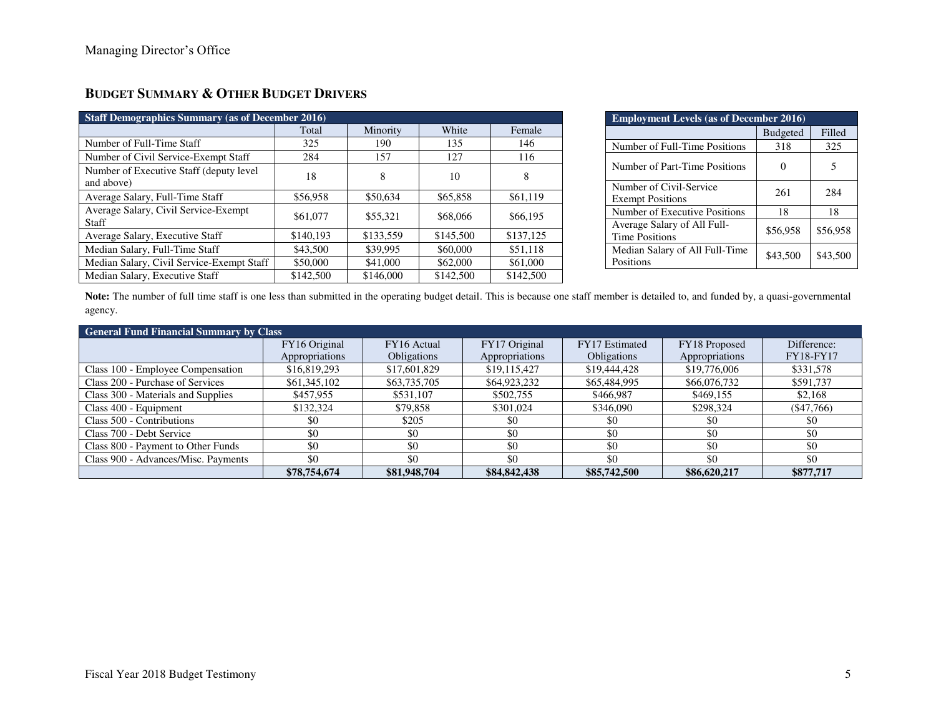| <b>Staff Demographics Summary (as of December 2016)</b> |           |           |           |           |  |  |  |
|---------------------------------------------------------|-----------|-----------|-----------|-----------|--|--|--|
|                                                         | Total     | Minority  | White     | Female    |  |  |  |
| Number of Full-Time Staff                               | 325       | 190       | 135       | 146       |  |  |  |
| Number of Civil Service-Exempt Staff                    | 284       | 157       | 127       | 116       |  |  |  |
| Number of Executive Staff (deputy level<br>and above)   | 18        | 8         | 10        | 8         |  |  |  |
| Average Salary, Full-Time Staff                         | \$56,958  | \$50,634  | \$65,858  | \$61,119  |  |  |  |
| Average Salary, Civil Service-Exempt<br>Staff           | \$61,077  | \$55,321  | \$68,066  | \$66,195  |  |  |  |
| Average Salary, Executive Staff                         | \$140,193 | \$133,559 | \$145,500 | \$137,125 |  |  |  |
| Median Salary, Full-Time Staff                          | \$43,500  | \$39,995  | \$60,000  | \$51,118  |  |  |  |
| Median Salary, Civil Service-Exempt Staff               | \$50,000  | \$41,000  | \$62,000  | \$61,000  |  |  |  |
| Median Salary, Executive Staff                          | \$142,500 | \$146,000 | \$142,500 | \$142,500 |  |  |  |

# **BUDGET SUMMARY & OTHER BUDGET DRIVERS**

| <b>Employment Levels (as of December 2016)</b>       |                 |          |  |  |
|------------------------------------------------------|-----------------|----------|--|--|
|                                                      | <b>Budgeted</b> | Filled   |  |  |
| Number of Full-Time Positions                        | 318             | 325      |  |  |
| Number of Part-Time Positions                        |                 | 5        |  |  |
| Number of Civil-Service<br><b>Exempt Positions</b>   | 261             | 284      |  |  |
| Number of Executive Positions                        | 18              | 18       |  |  |
| Average Salary of All Full-<br><b>Time Positions</b> | \$56,958        | \$56,958 |  |  |
| Median Salary of All Full-Time<br>Positions          | \$43,500        | \$43,500 |  |  |

Note: The number of full time staff is one less than submitted in the operating budget detail. This is because one staff member is detailed to, and funded by, a quasi-governmental agency.

| <b>General Fund Financial Summary by Class</b> |                |                    |                |                    |                |                  |  |  |
|------------------------------------------------|----------------|--------------------|----------------|--------------------|----------------|------------------|--|--|
|                                                | FY16 Original  | FY16 Actual        | FY17 Original  | FY17 Estimated     | FY18 Proposed  | Difference:      |  |  |
|                                                | Appropriations | <b>Obligations</b> | Appropriations | <b>Obligations</b> | Appropriations | <b>FY18-FY17</b> |  |  |
| Class 100 - Employee Compensation              | \$16,819,293   | \$17,601,829       | \$19,115,427   | \$19,444,428       | \$19,776,006   | \$331,578        |  |  |
| Class 200 - Purchase of Services               | \$61,345,102   | \$63,735,705       | \$64,923,232   | \$65,484,995       | \$66,076,732   | \$591,737        |  |  |
| Class 300 - Materials and Supplies             | \$457,955      | \$531,107          | \$502,755      | \$466,987          | \$469,155      | \$2,168          |  |  |
| Class 400 - Equipment                          | \$132,324      | \$79,858           | \$301,024      | \$346,090          | \$298,324      | $(\$47,766)$     |  |  |
| Class 500 - Contributions                      | \$0            | \$205              | \$0            | \$0                | \$0            | \$0              |  |  |
| Class 700 - Debt Service                       | \$0            | \$0                | \$0            | \$0                | \$0            | \$0              |  |  |
| Class 800 - Payment to Other Funds             | \$0            | \$0                | \$0            | \$0                | \$0            | \$0              |  |  |
| Class 900 - Advances/Misc. Payments            | \$0            | \$0                | \$0            | \$0                | \$0            | \$0              |  |  |
|                                                | \$78,754,674   | \$81,948,704       | \$84,842,438   | \$85,742,500       | \$86,620,217   | \$877,717        |  |  |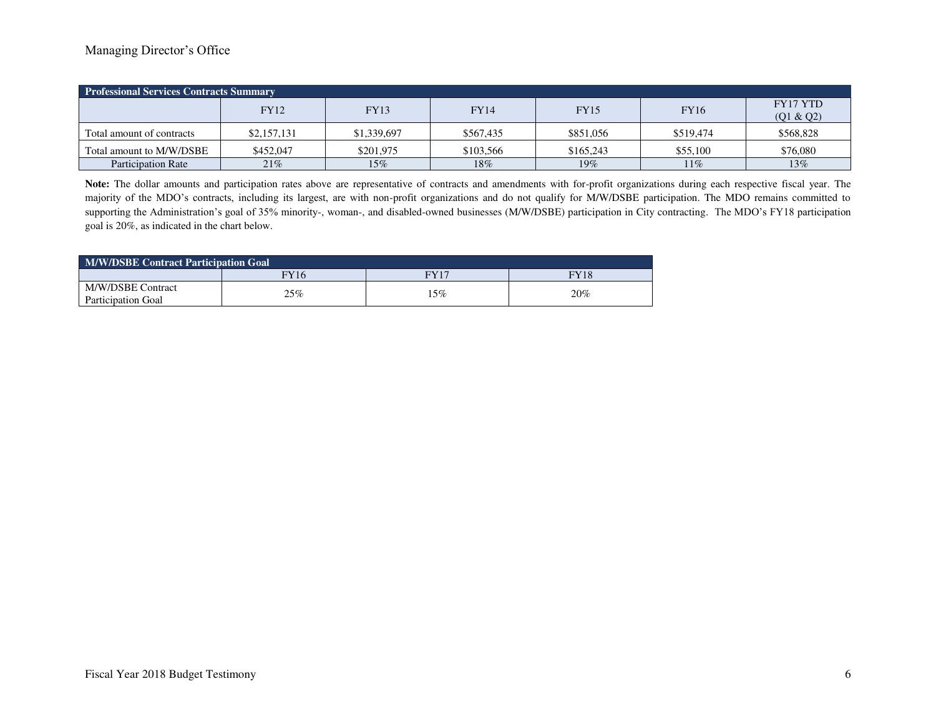#### Managing Director's Office

| <b>Professional Services Contracts Summary</b> |             |             |             |             |           |                              |  |
|------------------------------------------------|-------------|-------------|-------------|-------------|-----------|------------------------------|--|
|                                                | <b>FY12</b> | <b>FY13</b> | <b>FY14</b> | <b>FY15</b> | FY16      | <b>FY17 YTD</b><br>(Q1 & Q2) |  |
| Total amount of contracts                      | \$2,157,131 | \$1,339,697 | \$567.435   | \$851,056   | \$519,474 | \$568,828                    |  |
| Total amount to M/W/DSBE                       | \$452,047   | \$201.975   | \$103,566   | \$165,243   | \$55,100  | \$76,080                     |  |
| <b>Participation Rate</b>                      | 21%         | $15\%$      | 18%         | $19\%$      | $11\%$    | 13%                          |  |

**Note:** The dollar amounts and participation rates above are representative of contracts and amendments with for-profit organizations during each respective fiscal year. The majority of the MDO's contracts, including its largest, are with non-profit organizations and do not qualify for M/W/DSBE participation. The MDO remains committed to supporting the Administration's goal of 35% minority-, woman-, and disabled-owned businesses (M/W/DSBE) participation in City contracting. The MDO's FY18 participation goal is 20%, as indicated in the chart below.

| <b>M/W/DSBE Contract Participation Goal</b> |                  |             |      |  |
|---------------------------------------------|------------------|-------------|------|--|
|                                             | $\overline{Y}16$ | <b>FY17</b> | FY18 |  |
| M/W/DSBE Contract<br>Participation Goal     | 25%              | .5%         | 20%  |  |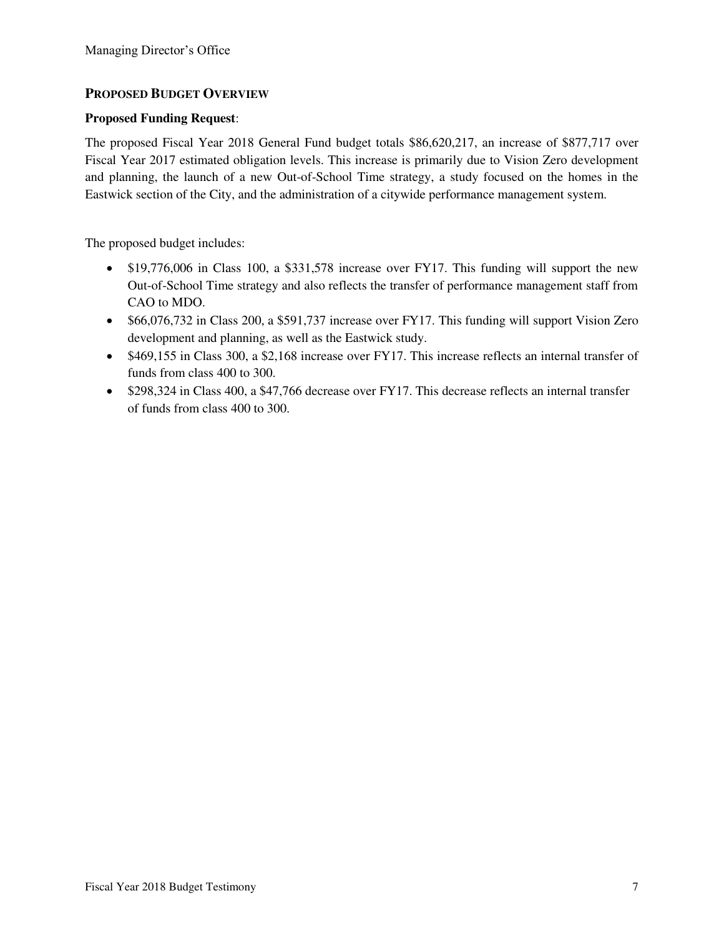### **PROPOSED BUDGET OVERVIEW**

#### **Proposed Funding Request**:

The proposed Fiscal Year 2018 General Fund budget totals \$86,620,217, an increase of \$877,717 over Fiscal Year 2017 estimated obligation levels. This increase is primarily due to Vision Zero development and planning, the launch of a new Out-of-School Time strategy, a study focused on the homes in the Eastwick section of the City, and the administration of a citywide performance management system.

The proposed budget includes:

- \$19,776,006 in Class 100, a \$331,578 increase over FY17. This funding will support the new Out-of-School Time strategy and also reflects the transfer of performance management staff from CAO to MDO.
- \$66,076,732 in Class 200, a \$591,737 increase over FY17. This funding will support Vision Zero development and planning, as well as the Eastwick study.
- \$469,155 in Class 300, a \$2,168 increase over FY17. This increase reflects an internal transfer of funds from class 400 to 300.
- \$298,324 in Class 400, a \$47,766 decrease over FY17. This decrease reflects an internal transfer of funds from class 400 to 300.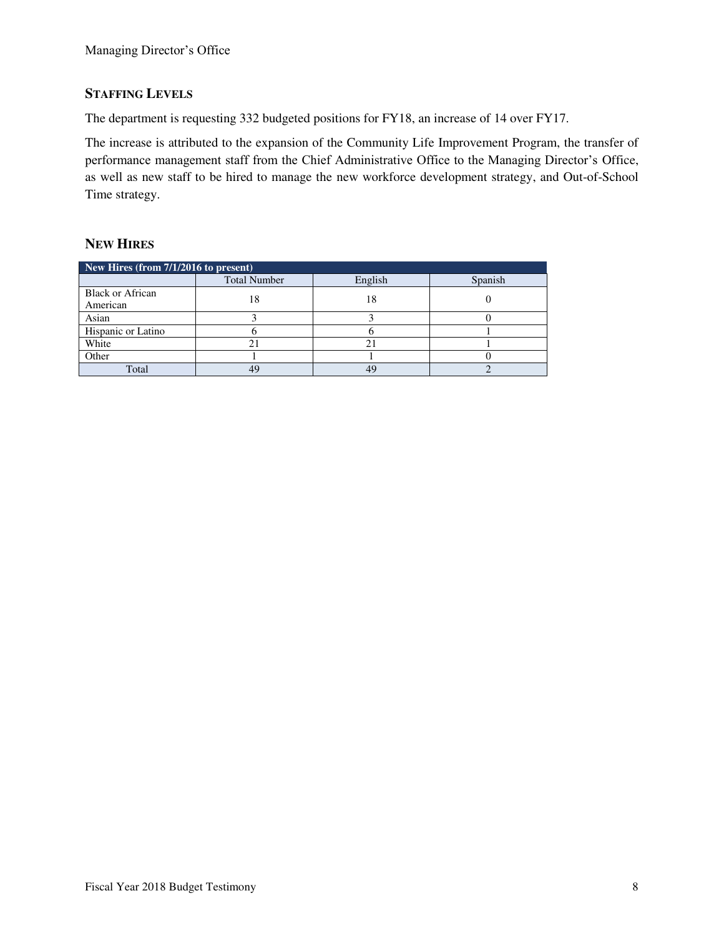# **STAFFING LEVELS**

The department is requesting 332 budgeted positions for FY18, an increase of 14 over FY17.

The increase is attributed to the expansion of the Community Life Improvement Program, the transfer of performance management staff from the Chief Administrative Office to the Managing Director's Office, as well as new staff to be hired to manage the new workforce development strategy, and Out-of-School Time strategy.

### **NEW HIRES**

| New Hires (from $7/1/2016$ to present) |                     |         |         |  |  |  |
|----------------------------------------|---------------------|---------|---------|--|--|--|
|                                        | <b>Total Number</b> | English | Spanish |  |  |  |
| <b>Black or African</b>                | 18                  | 18      |         |  |  |  |
| American                               |                     |         |         |  |  |  |
| Asian                                  |                     |         |         |  |  |  |
| Hispanic or Latino                     |                     |         |         |  |  |  |
| White                                  |                     |         |         |  |  |  |
| Other                                  |                     |         |         |  |  |  |
| Total                                  | 4G                  |         |         |  |  |  |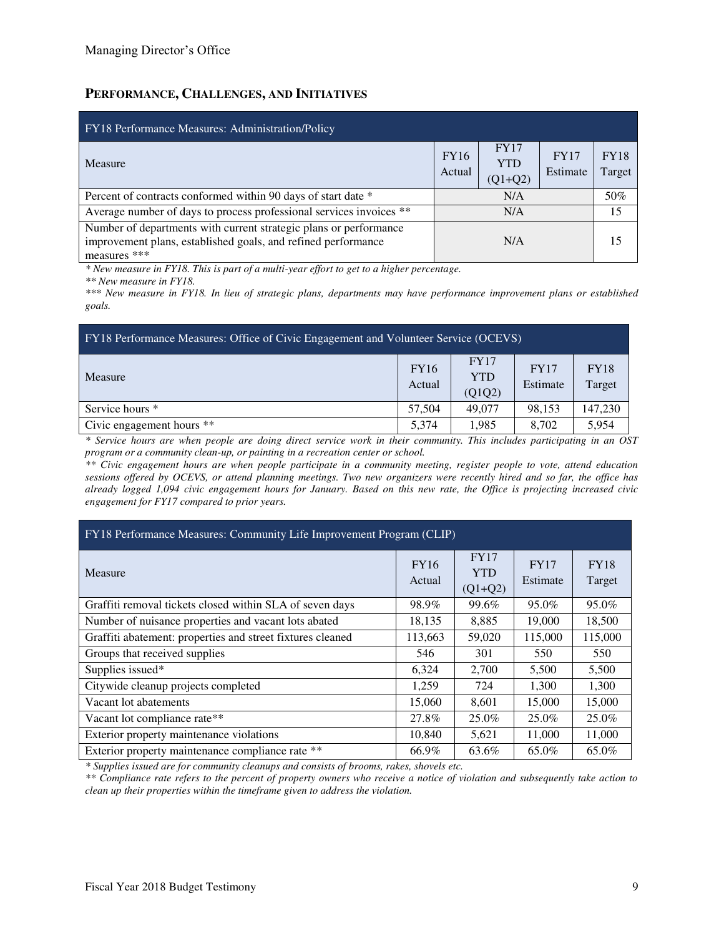### **PERFORMANCE, CHALLENGES, AND INITIATIVES**

| FY18 Performance Measures: Administration/Policy                                                                                                   |                       |                                        |                         |                       |
|----------------------------------------------------------------------------------------------------------------------------------------------------|-----------------------|----------------------------------------|-------------------------|-----------------------|
| Measure                                                                                                                                            | <b>FY16</b><br>Actual | <b>FY17</b><br><b>YTD</b><br>$(Q1+Q2)$ | <b>FY17</b><br>Estimate | <b>FY18</b><br>Target |
| Percent of contracts conformed within 90 days of start date *                                                                                      |                       | N/A                                    |                         | 50%                   |
| Average number of days to process professional services invoices **                                                                                |                       | N/A                                    |                         | 15                    |
| Number of departments with current strategic plans or performance<br>improvement plans, established goals, and refined performance<br>measures *** | N/A                   |                                        |                         | 15                    |

*\* New measure in FY18. This is part of a multi-year effort to get to a higher percentage.* 

*\*\* New measure in FY18.* 

*\*\*\* New measure in FY18. In lieu of strategic plans, departments may have performance improvement plans or established goals.* 

| FY18 Performance Measures: Office of Civic Engagement and Volunteer Service (OCEVS) |                       |                                     |                         |                       |  |
|-------------------------------------------------------------------------------------|-----------------------|-------------------------------------|-------------------------|-----------------------|--|
| <b>Measure</b>                                                                      | <b>FY16</b><br>Actual | <b>FY17</b><br><b>YTD</b><br>(Q1Q2) | <b>FY17</b><br>Estimate | <b>FY18</b><br>Target |  |
| Service hours *                                                                     | 57,504                | 49,077                              | 98.153                  | 147,230               |  |
| Civic engagement hours **                                                           | 5.374                 | 1.985                               | 8.702                   | 5,954                 |  |

*\* Service hours are when people are doing direct service work in their community. This includes participating in an OST program or a community clean-up, or painting in a recreation center or school.* 

*\*\* Civic engagement hours are when people participate in a community meeting, register people to vote, attend education sessions offered by OCEVS, or attend planning meetings. Two new organizers were recently hired and so far, the office has already logged 1,094 civic engagement hours for January. Based on this new rate, the Office is projecting increased civic engagement for FY17 compared to prior years.* 

| FY18 Performance Measures: Community Life Improvement Program (CLIP) |                       |                                        |                         |                       |  |  |
|----------------------------------------------------------------------|-----------------------|----------------------------------------|-------------------------|-----------------------|--|--|
| Measure                                                              | <b>FY16</b><br>Actual | <b>FY17</b><br><b>YTD</b><br>$(Q1+Q2)$ | <b>FY17</b><br>Estimate | <b>FY18</b><br>Target |  |  |
| Graffiti removal tickets closed within SLA of seven days             | 98.9%                 | 99.6%                                  | 95.0%                   | 95.0%                 |  |  |
| Number of nuisance properties and vacant lots abated                 | 18,135                | 8,885                                  | 19,000                  | 18,500                |  |  |
| Graffiti abatement: properties and street fixtures cleaned           | 113,663               | 59,020                                 | 115,000                 | 115,000               |  |  |
| Groups that received supplies                                        | 546                   | 301                                    | 550                     | 550                   |  |  |
| Supplies issued*                                                     | 6,324                 | 2,700                                  | 5,500                   | 5,500                 |  |  |
| Citywide cleanup projects completed                                  | 1,259                 | 724                                    | 1.300                   | 1.300                 |  |  |
| Vacant lot abatements                                                | 15,060                | 8,601                                  | 15,000                  | 15,000                |  |  |
| Vacant lot compliance rate**                                         | 27.8%                 | 25.0%                                  | 25.0%                   | 25.0%                 |  |  |
| Exterior property maintenance violations                             | 10,840                | 5,621                                  | 11,000                  | 11,000                |  |  |
| Exterior property maintenance compliance rate **                     | 66.9%                 | 63.6%                                  | 65.0%                   | 65.0%                 |  |  |

*\* Supplies issued are for community cleanups and consists of brooms, rakes, shovels etc.* 

*\*\* Compliance rate refers to the percent of property owners who receive a notice of violation and subsequently take action to clean up their properties within the timeframe given to address the violation.*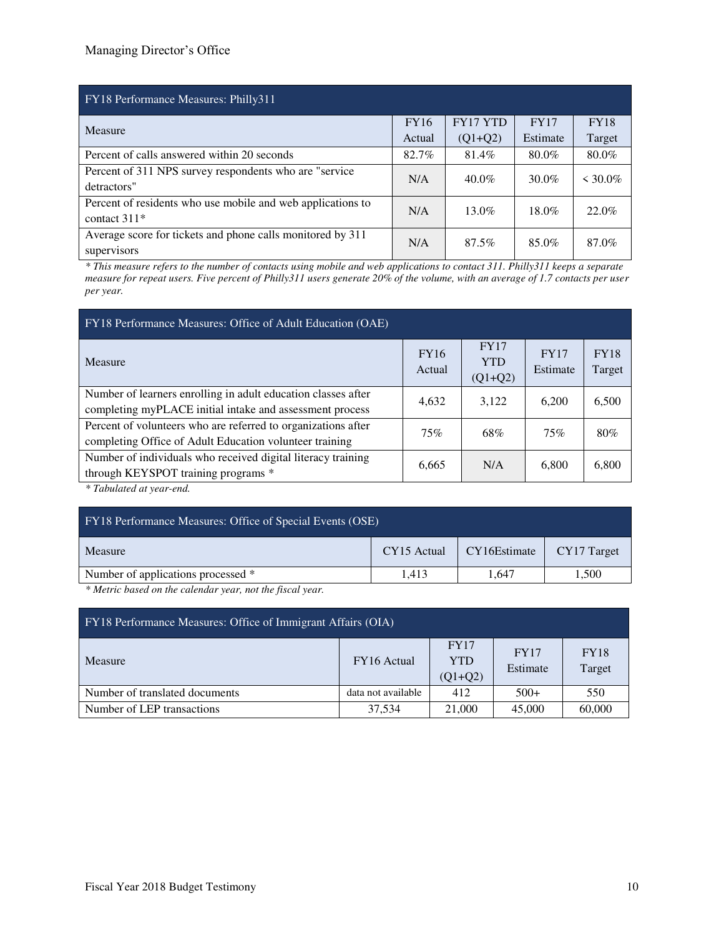| FY18 Performance Measures: Philly311                        |       |                 |             |             |  |  |
|-------------------------------------------------------------|-------|-----------------|-------------|-------------|--|--|
| Measure                                                     |       | <b>FY17 YTD</b> | <b>FY17</b> | <b>FY18</b> |  |  |
|                                                             |       | $(Q1+Q2)$       | Estimate    | Target      |  |  |
| Percent of calls answered within 20 seconds                 | 82.7% | 81.4%           | 80.0%       | 80.0%       |  |  |
| Percent of 311 NPS survey respondents who are "service"     | N/A   | $40.0\%$        | $30.0\%$    | $< 30.0\%$  |  |  |
| detractors"                                                 |       |                 |             |             |  |  |
| Percent of residents who use mobile and web applications to | N/A   | 13.0%           | $18.0\%$    | 22.0%       |  |  |
| contact $311*$                                              |       |                 |             |             |  |  |
| Average score for tickets and phone calls monitored by 311  | N/A   | 87.5%           | 85.0%       | 87.0%       |  |  |
| supervisors                                                 |       |                 |             |             |  |  |

*\* This measure refers to the number of contacts using mobile and web applications to contact 311. Philly311 keeps a separate measure for repeat users. Five percent of Philly311 users generate 20% of the volume, with an average of 1.7 contacts per user per year.* 

| FY18 Performance Measures: Office of Adult Education (OAE)                                                                |                       |                                        |                         |                       |
|---------------------------------------------------------------------------------------------------------------------------|-----------------------|----------------------------------------|-------------------------|-----------------------|
| Measure                                                                                                                   | <b>FY16</b><br>Actual | <b>FY17</b><br><b>YTD</b><br>$(Q1+Q2)$ | <b>FY17</b><br>Estimate | <b>FY18</b><br>Target |
| Number of learners enrolling in adult education classes after<br>completing myPLACE initial intake and assessment process | 4,632                 | 3,122                                  | 6,200                   | 6,500                 |
| Percent of volunteers who are referred to organizations after<br>completing Office of Adult Education volunteer training  | 75%                   | 68%                                    | 75%                     | 80%                   |
| Number of individuals who received digital literacy training<br>through KEYSPOT training programs *                       | 6,665                 | N/A                                    | 6,800                   | 6,800                 |

*\* Tabulated at year-end.* 

| <b>FY18 Performance Measures: Office of Special Events (OSE)</b> |             |              |             |  |  |
|------------------------------------------------------------------|-------------|--------------|-------------|--|--|
| Measure                                                          | CY15 Actual | CY16Estimate | CY17 Target |  |  |
| Number of applications processed *                               | 1.413       | 1.647        | 1,500       |  |  |
| $\sim$ $\sim$ $\sim$<br>$\cdots$ $\cdots$                        |             |              |             |  |  |

*\* Metric based on the calendar year, not the fiscal year.* 

| FY18 Performance Measures: Office of Immigrant Affairs (OIA) |                    |                                        |                  |                       |  |  |  |  |
|--------------------------------------------------------------|--------------------|----------------------------------------|------------------|-----------------------|--|--|--|--|
| Measure                                                      | FY16 Actual        | <b>FY17</b><br><b>YTD</b><br>$(Q1+Q2)$ | FY17<br>Estimate | <b>FY18</b><br>Target |  |  |  |  |
| Number of translated documents                               | data not available | 412                                    | $500+$           | 550                   |  |  |  |  |
| Number of LEP transactions                                   | 37.534             | 21,000                                 | 45,000           | 60,000                |  |  |  |  |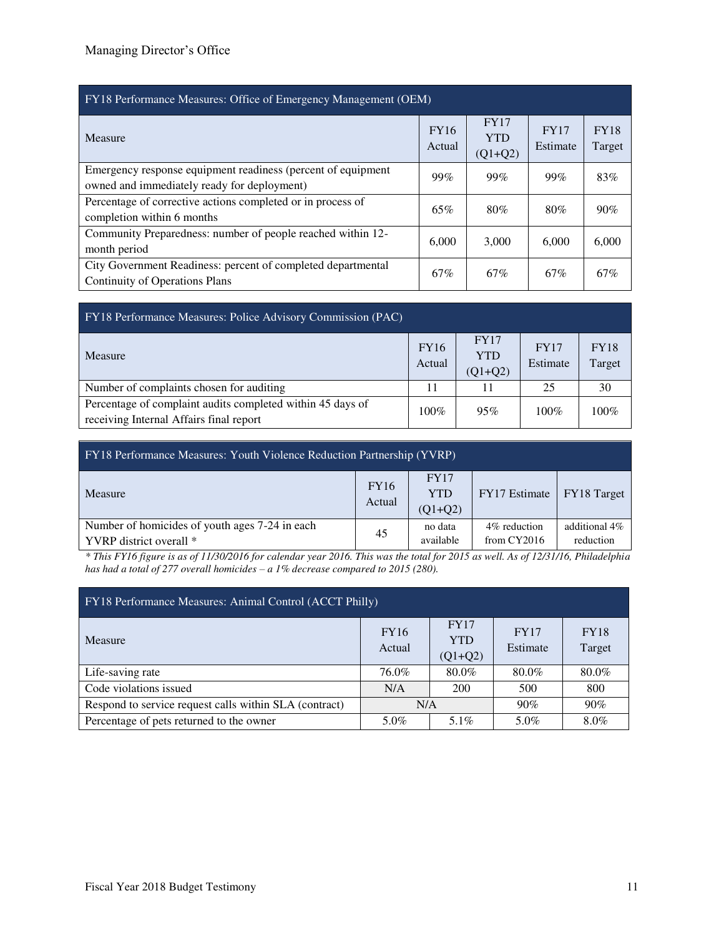| <b>FY18 Performance Measures: Office of Emergency Management (OEM)</b>                                      |                       |                                        |                  |                       |  |  |  |  |
|-------------------------------------------------------------------------------------------------------------|-----------------------|----------------------------------------|------------------|-----------------------|--|--|--|--|
| Measure                                                                                                     | <b>FY16</b><br>Actual | <b>FY17</b><br><b>YTD</b><br>$(Q1+Q2)$ | FY17<br>Estimate | <b>FY18</b><br>Target |  |  |  |  |
| Emergency response equipment readiness (percent of equipment<br>owned and immediately ready for deployment) | 99%                   | 99%                                    | 99%              | 83%                   |  |  |  |  |
| Percentage of corrective actions completed or in process of<br>completion within 6 months                   | 65%                   | 80%                                    | 80%              | 90%                   |  |  |  |  |
| Community Preparedness: number of people reached within 12-<br>month period                                 | 6.000                 | 3,000                                  | 6,000            | 6,000                 |  |  |  |  |
| City Government Readiness: percent of completed departmental<br><b>Continuity of Operations Plans</b>       | 67%                   | 67%                                    | 67%              | 67%                   |  |  |  |  |

| FY18 Performance Measures: Police Advisory Commission (PAC)                                           |                       |                                        |                         |                       |  |  |  |  |  |
|-------------------------------------------------------------------------------------------------------|-----------------------|----------------------------------------|-------------------------|-----------------------|--|--|--|--|--|
| Measure                                                                                               | <b>FY16</b><br>Actual | <b>FY17</b><br><b>YTD</b><br>$(Q1+Q2)$ | <b>FY17</b><br>Estimate | <b>FY18</b><br>Target |  |  |  |  |  |
| Number of complaints chosen for auditing                                                              |                       | 11                                     | 25                      | 30                    |  |  |  |  |  |
| Percentage of complaint audits completed within 45 days of<br>receiving Internal Affairs final report | $100\%$               | 95%                                    | $100\%$                 | $100\%$               |  |  |  |  |  |

| <b>FY18</b> Performance Measures: Youth Violence Reduction Partnership (YVRP) |                       |                                        |                                |                            |  |  |  |  |
|-------------------------------------------------------------------------------|-----------------------|----------------------------------------|--------------------------------|----------------------------|--|--|--|--|
| Measure                                                                       | <b>FY16</b><br>Actual | <b>FY17</b><br><b>YTD</b><br>$(Q1+Q2)$ | FY17 Estimate                  | FY18 Target                |  |  |  |  |
| Number of homicides of youth ages 7-24 in each<br>YVRP district overall *     | 45                    | no data<br>available                   | 4\% reduction<br>from $CY2016$ | additional 4%<br>reduction |  |  |  |  |

*\* This FY16 figure is as of 11/30/2016 for calendar year 2016. This was the total for 2015 as well. As of 12/31/16, Philadelphia has had a total of 277 overall homicides – a 1% decrease compared to 2015 (280).* 

| FY18 Performance Measures: Animal Control (ACCT Philly) |                       |                                 |                  |                       |  |  |  |  |
|---------------------------------------------------------|-----------------------|---------------------------------|------------------|-----------------------|--|--|--|--|
| Measure                                                 | <b>FY16</b><br>Actual | FY17<br><b>YTD</b><br>$(Q1+Q2)$ | FY17<br>Estimate | <b>FY18</b><br>Target |  |  |  |  |
| Life-saving rate                                        | 76.0%                 | 80.0%                           | 80.0%            | 80.0%                 |  |  |  |  |
| Code violations issued                                  | N/A                   | 200                             | 500              | 800                   |  |  |  |  |
| Respond to service request calls within SLA (contract)  | N/A                   |                                 | 90%              | 90%                   |  |  |  |  |
| Percentage of pets returned to the owner                | 5.0%                  | 5.1%                            | 5.0%             | 8.0%                  |  |  |  |  |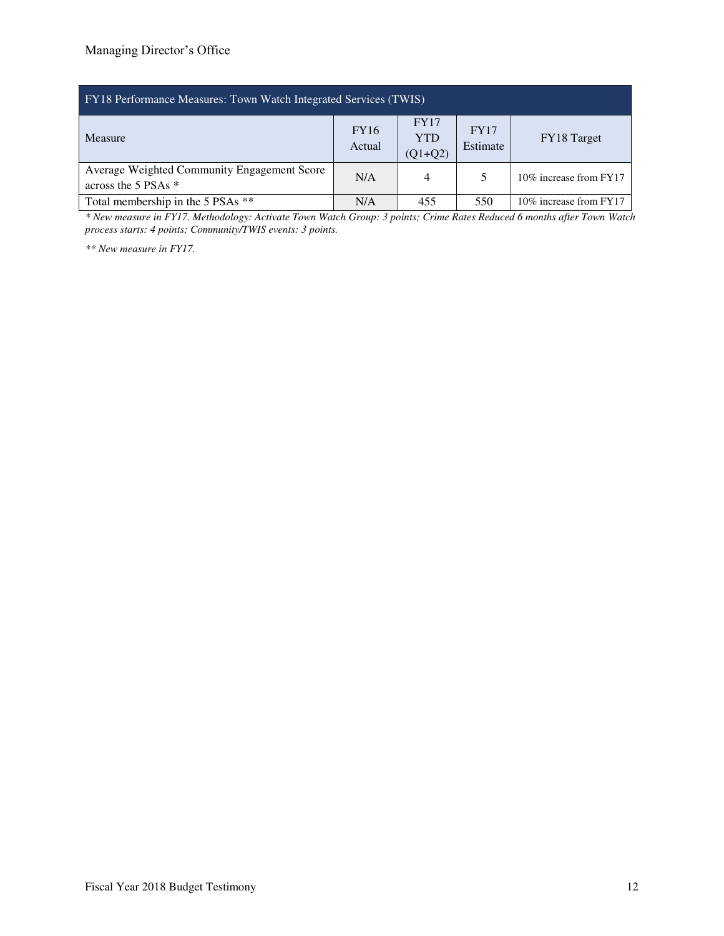| <b>FY18</b> Performance Measures: Town Watch Integrated Services (TWIS) |                       |                                        |                  |                        |  |  |  |  |
|-------------------------------------------------------------------------|-----------------------|----------------------------------------|------------------|------------------------|--|--|--|--|
| Measure                                                                 | <b>FY16</b><br>Actual | <b>FY17</b><br><b>YTD</b><br>$(Q1+Q2)$ | FY17<br>Estimate | FY18 Target            |  |  |  |  |
| Average Weighted Community Engagement Score<br>across the 5 PSAs $*$    | N/A                   | $\overline{4}$                         |                  | 10% increase from FY17 |  |  |  |  |
| Total membership in the 5 PSAs **                                       | N/A                   | 455                                    | 550              | 10% increase from FY17 |  |  |  |  |

*\* New measure in FY17. Methodology: Activate Town Watch Group: 3 points; Crime Rates Reduced 6 months after Town Watch process starts: 4 points; Community/TWIS events: 3 points.* 

*\*\* New measure in FY17.*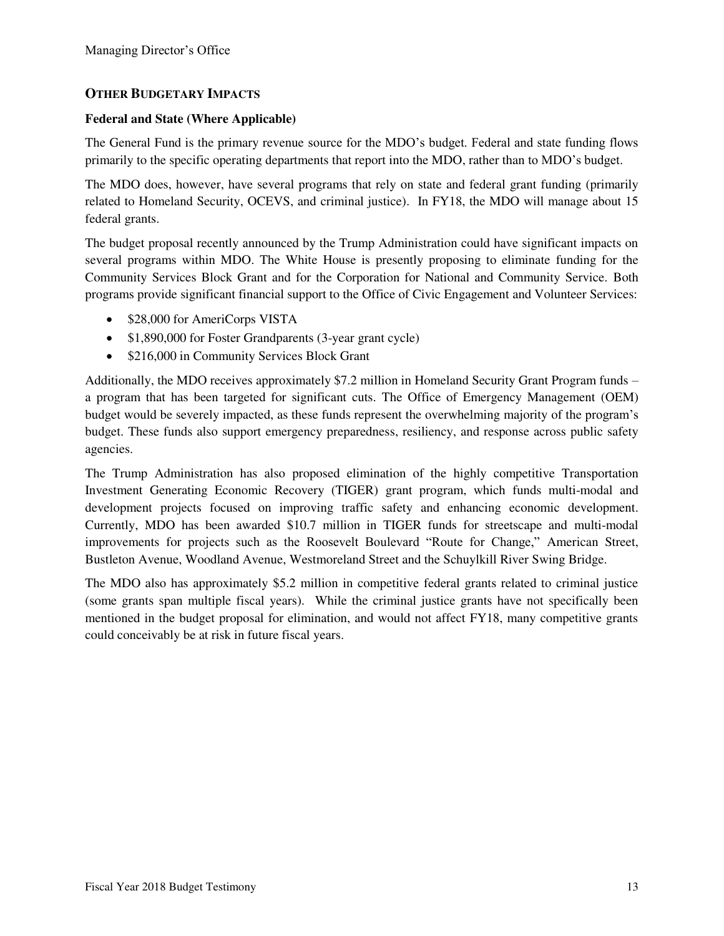### **OTHER BUDGETARY IMPACTS**

#### **Federal and State (Where Applicable)**

The General Fund is the primary revenue source for the MDO's budget. Federal and state funding flows primarily to the specific operating departments that report into the MDO, rather than to MDO's budget.

The MDO does, however, have several programs that rely on state and federal grant funding (primarily related to Homeland Security, OCEVS, and criminal justice). In FY18, the MDO will manage about 15 federal grants.

The budget proposal recently announced by the Trump Administration could have significant impacts on several programs within MDO. The White House is presently proposing to eliminate funding for the Community Services Block Grant and for the Corporation for National and Community Service. Both programs provide significant financial support to the Office of Civic Engagement and Volunteer Services:

- \$28,000 for AmeriCorps VISTA
- \$1,890,000 for Foster Grandparents (3-year grant cycle)
- \$216,000 in Community Services Block Grant

Additionally, the MDO receives approximately \$7.2 million in Homeland Security Grant Program funds – a program that has been targeted for significant cuts. The Office of Emergency Management (OEM) budget would be severely impacted, as these funds represent the overwhelming majority of the program's budget. These funds also support emergency preparedness, resiliency, and response across public safety agencies.

The Trump Administration has also proposed elimination of the highly competitive Transportation Investment Generating Economic Recovery (TIGER) grant program, which funds multi-modal and development projects focused on improving traffic safety and enhancing economic development. Currently, MDO has been awarded \$10.7 million in TIGER funds for streetscape and multi-modal improvements for projects such as the Roosevelt Boulevard "Route for Change," American Street, Bustleton Avenue, Woodland Avenue, Westmoreland Street and the Schuylkill River Swing Bridge.

The MDO also has approximately \$5.2 million in competitive federal grants related to criminal justice (some grants span multiple fiscal years). While the criminal justice grants have not specifically been mentioned in the budget proposal for elimination, and would not affect FY18, many competitive grants could conceivably be at risk in future fiscal years.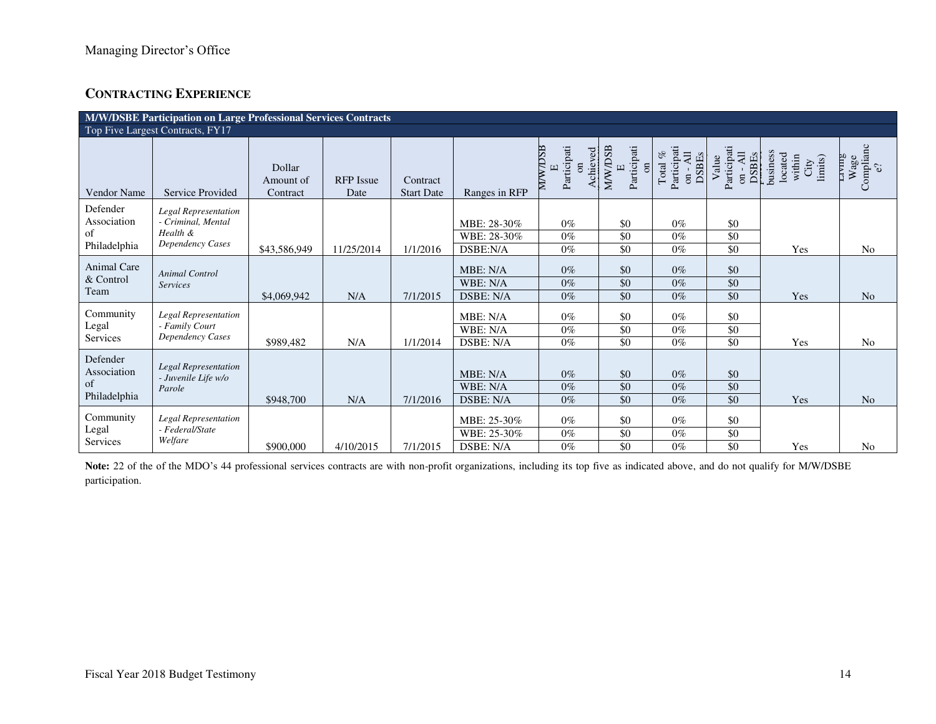# **CONTRACTING EXPERIENCE**

|                                               | M/W/DSBE Participation on Large Professional Services Contracts                   |                                 |                          |                               |                                         |                                                            |                                                                                |                                                                         |                                                  |                                                  |                                          |
|-----------------------------------------------|-----------------------------------------------------------------------------------|---------------------------------|--------------------------|-------------------------------|-----------------------------------------|------------------------------------------------------------|--------------------------------------------------------------------------------|-------------------------------------------------------------------------|--------------------------------------------------|--------------------------------------------------|------------------------------------------|
|                                               | Top Five Largest Contracts, FY17                                                  |                                 |                          |                               |                                         |                                                            |                                                                                |                                                                         |                                                  |                                                  |                                          |
| <b>Vendor Name</b>                            | Service Provided                                                                  | Dollar<br>Amount of<br>Contract | <b>RFP</b> Issue<br>Date | Contract<br><b>Start Date</b> | Ranges in RFP                           | <b>ANAMIN</b><br>Participati<br>Achieved<br>$\overline{a}$ | <b>MWDSB</b><br>Participati<br>$\overline{\mathrm{m}}$<br>$\boxed{\mathbf{L}}$ | Participati<br>Total $%$<br>on - $\overline{Al}$<br>DSBEs<br>$_{\rm S}$ | Participati<br>on - All<br><b>DSBEs</b><br>Value | business<br>located<br>within<br>City<br>limits) | Complianc<br>$e^{\Omega}$<br>Aшя<br>Wage |
| Defender<br>Association<br>of<br>Philadelphia | <b>Legal Representation</b><br>- Criminal, Mental<br>Health &<br>Dependency Cases | \$43,586,949                    | 11/25/2014               | 1/1/2016                      | MBE: 28-30%<br>WBE: 28-30%<br>DSBE:N/A  | $0\%$<br>$0\%$<br>$0\%$                                    | \$0<br>\$0<br>\$0                                                              | $0\%$<br>$0\%$<br>$0\%$                                                 | \$0<br>\$0<br>\$0                                | Yes                                              | N <sub>0</sub>                           |
| Animal Care<br>& Control<br>Team              | <b>Animal Control</b><br><b>Services</b>                                          | \$4,069,942                     | N/A                      | 7/1/2015                      | MBE: N/A<br>WBE: N/A<br>DSBE: N/A       | $0\%$<br>$0\%$<br>$0\%$                                    | \$0<br>$\sqrt{6}$<br>\$0                                                       | $0\%$<br>$0\%$<br>$0\%$                                                 | \$0<br>\$0<br>\$0                                | Yes                                              | N <sub>o</sub>                           |
| Community<br>Legal<br>Services                | Legal Representation<br>- Family Court<br>Dependency Cases                        | \$989,482                       | N/A                      | 1/1/2014                      | MBE: N/A<br>WBE: N/A<br>DSBE: N/A       | $0\%$<br>$0\%$<br>$0\%$                                    | \$0<br>\$0<br>\$0                                                              | $0\%$<br>$0\%$<br>$0\%$                                                 | \$0<br>\$0<br>\$0                                | Yes                                              | N <sub>o</sub>                           |
| Defender<br>Association<br>of<br>Philadelphia | <b>Legal Representation</b><br>- Juvenile Life w/o<br>Parole                      | \$948,700                       | N/A                      | 7/1/2016                      | MBE: N/A<br>WBE: N/A<br>DSBE: N/A       | $0\%$<br>$0\%$<br>$0\%$                                    | \$0<br>\$0<br>$\sqrt{6}$                                                       | $0\%$<br>$0\%$<br>$0\%$                                                 | \$0<br>\$0<br>\$0                                | Yes                                              | N <sub>o</sub>                           |
| Community<br>Legal<br>Services                | <b>Legal Representation</b><br>- Federal/State<br>Welfare                         | \$900,000                       | 4/10/2015                | 7/1/2015                      | MBE: 25-30%<br>WBE: 25-30%<br>DSBE: N/A | $0\%$<br>$0\%$<br>$0\%$                                    | \$0<br>\$0<br>\$0                                                              | $0\%$<br>$0\%$<br>$0\%$                                                 | \$0<br>\$0<br>\$0                                | Yes                                              | N <sub>0</sub>                           |

Note: 22 of the of the MDO's 44 professional services contracts are with non-profit organizations, including its top five as indicated above, and do not qualify for M/W/DSBE participation.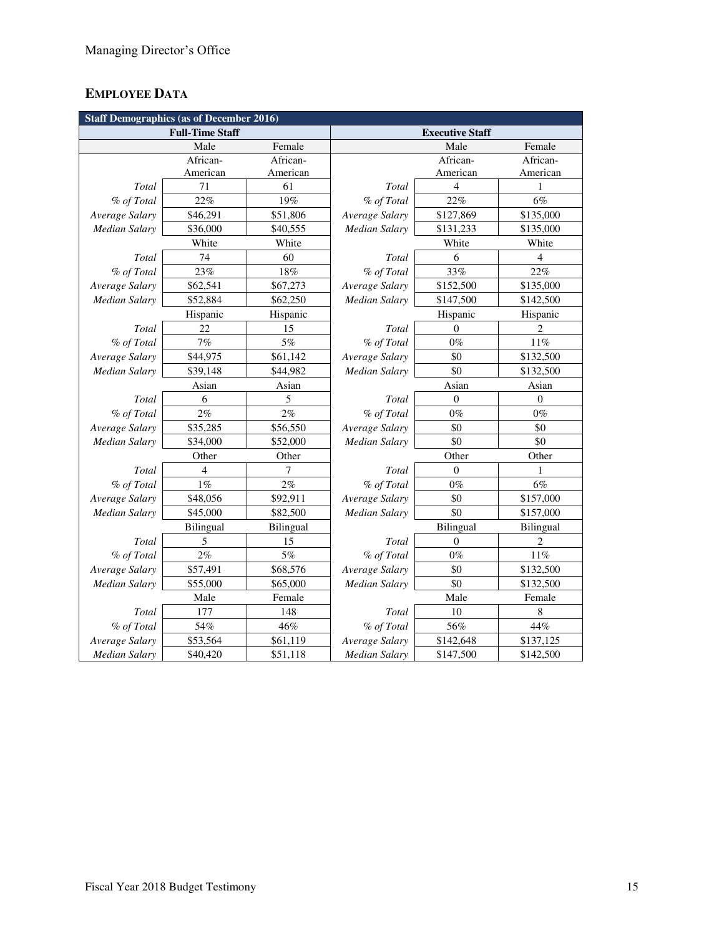# **EMPLOYEE DATA**

| <b>Staff Demographics (as of December 2016)</b> |                        |           |                      |                        |                |  |  |
|-------------------------------------------------|------------------------|-----------|----------------------|------------------------|----------------|--|--|
|                                                 | <b>Full-Time Staff</b> |           |                      | <b>Executive Staff</b> |                |  |  |
|                                                 | Male                   | Female    |                      | Male                   | Female         |  |  |
|                                                 | African-               | African-  |                      | African-               | African-       |  |  |
|                                                 | American               | American  |                      | American               | American       |  |  |
| Total                                           | 71                     | 61        | Total                | $\overline{4}$         |                |  |  |
| % of Total                                      | 22%                    | 19%       | % of Total           | 22%                    | 6%             |  |  |
| Average Salary                                  | \$46,291               | \$51,806  | Average Salary       | \$127,869              | \$135,000      |  |  |
| Median Salary                                   | \$36,000               | \$40,555  | Median Salary        | \$131,233              | \$135,000      |  |  |
|                                                 | White                  | White     |                      | White                  | White          |  |  |
| Total                                           | 74                     | 60        | Total                | 6                      | $\overline{4}$ |  |  |
| % of Total                                      | 23%                    | 18%       | % of Total           | 33%                    | 22%            |  |  |
| Average Salary                                  | \$62,541               | \$67,273  | Average Salary       | \$152,500              | \$135,000      |  |  |
| Median Salary                                   | \$52,884               | \$62,250  | Median Salary        | \$147,500              | \$142,500      |  |  |
|                                                 | Hispanic               | Hispanic  |                      | Hispanic               | Hispanic       |  |  |
| Total                                           | 22                     | 15        | Total                | $\theta$               | $\overline{c}$ |  |  |
| % of Total                                      | 7%                     | 5%        | % of Total           | $0\%$                  | $11\%$         |  |  |
| Average Salary                                  | \$44,975               | \$61,142  | Average Salary       | \$0                    | \$132,500      |  |  |
| <b>Median Salary</b>                            | \$39,148               | \$44,982  | <b>Median Salary</b> | \$0                    | \$132,500      |  |  |
|                                                 | Asian                  | Asian     |                      | Asian                  | Asian          |  |  |
| Total                                           | 6                      | 5         | Total                | $\overline{0}$         | $\overline{0}$ |  |  |
| % of Total                                      | 2%                     | 2%        | % of Total           | $0\%$                  | $0\%$          |  |  |
| Average Salary                                  | \$35,285               | \$56,550  | Average Salary       | \$0                    | \$0            |  |  |
| <b>Median Salary</b>                            | \$34,000               | \$52,000  | <b>Median Salary</b> | \$0                    | \$0            |  |  |
|                                                 | Other                  | Other     |                      | Other                  | Other          |  |  |
| Total                                           | 4                      | 7         | Total                | $\theta$               | 1              |  |  |
| % of Total                                      | 1%                     | 2%        | % of Total           | $0\%$                  | 6%             |  |  |
| Average Salary                                  | \$48,056               | \$92,911  | Average Salary       | \$0                    | \$157,000      |  |  |
| Median Salary                                   | \$45,000               | \$82,500  | Median Salary        | \$0                    | \$157,000      |  |  |
|                                                 | Bilingual              | Bilingual |                      | Bilingual              | Bilingual      |  |  |
| Total                                           | 5                      | 15        | Total                | $\theta$               | $\overline{c}$ |  |  |
| % of Total                                      | $2\%$                  | 5%        | % of Total           | $0\%$                  | $11\%$         |  |  |
| Average Salary                                  | \$57,491               | \$68,576  | Average Salary       | \$0                    | \$132,500      |  |  |
| <b>Median Salary</b>                            | \$55,000               | \$65,000  | Median Salary        | \$0                    | \$132,500      |  |  |
|                                                 | Male                   | Female    |                      | Male                   | Female         |  |  |
| Total                                           | 177                    | 148       | Total                | 10                     | 8              |  |  |
| % of Total                                      | 54%                    | 46%       | % of Total           | 56%                    | 44%            |  |  |
| Average Salary                                  | \$53,564               | \$61,119  | Average Salary       | \$142,648              | \$137,125      |  |  |
| Median Salary                                   | \$40,420               | \$51,118  | Median Salary        | \$147,500              | \$142,500      |  |  |